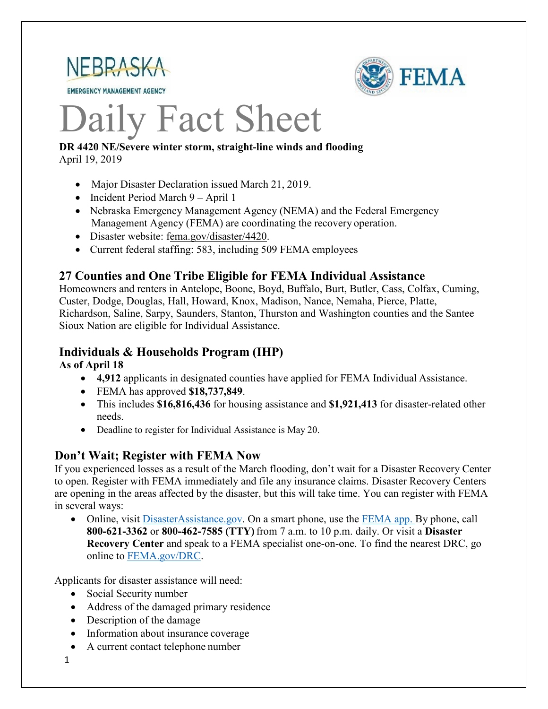

**EMERGENCY MANAGEMENT AGENCY** 



# Daily Fact Sheet

#### **DR 4420 NE/Severe winter storm, straight-line winds and flooding** April 19, 2019

- Major Disaster Declaration issued March 21, 2019.
- Incident Period March 9 April 1
- Nebraska Emergency Management Agency (NEMA) and the Federal Emergency Management Agency (FEMA) are coordinating the recovery operation.
- Disaster website: [fema.gov/disaster/4420.](https://www.fema.gov/disaster/4420)
- Current federal staffing: 583, including 509 FEMA employees

# **27 Counties and One Tribe Eligible for FEMA Individual Assistance**

Homeowners and renters in Antelope, Boone, Boyd, Buffalo, Burt, Butler, Cass, Colfax, Cuming, Custer, Dodge, Douglas, Hall, Howard, Knox, Madison, Nance, Nemaha, Pierce, Platte, Richardson, Saline, Sarpy, Saunders, Stanton, Thurston and Washington counties and the Santee Sioux Nation are eligible for Individual Assistance.

# **Individuals & Households Program (IHP)**

**As of April 18**

- **4,912** applicants in designated counties have applied for FEMA Individual Assistance.
- FEMA has approved **\$18,737,849**.
- This includes **\$16,816,436** for housing assistance and **\$1,921,413** for disaster-related other needs.
- Deadline to register for Individual Assistance is May 20.

# **Don't Wait; Register with FEMA Now**

If you experienced losses as a result of the March flooding, don't wait for a Disaster Recovery Center to open. Register with FEMA immediately and file any insurance claims. Disaster Recovery Centers are opening in the areas affected by the disaster, but this will take time. You can register with FEMA in several ways:

• Online, visit [DisasterAssistance.gov.](https://disasterassistance.gov/) On a smart phone, use the [FEMA app.](https://www.fema.gov/mobile-app) By phone, call **800-621-3362** or **800-462-7585 (TTY)** from 7 a.m. to 10 p.m. daily. Or visit a **Disaster Recovery Center** and speak to a FEMA specialist one-on-one. To find the nearest DRC, go online to [FEMA.gov/DRC.](http://www.fema.gov/DRC)

Applicants for disaster assistance will need:

- Social Security number
- Address of the damaged primary residence
- Description of the damage
- Information about insurance coverage
- A current contact telephone number
- 1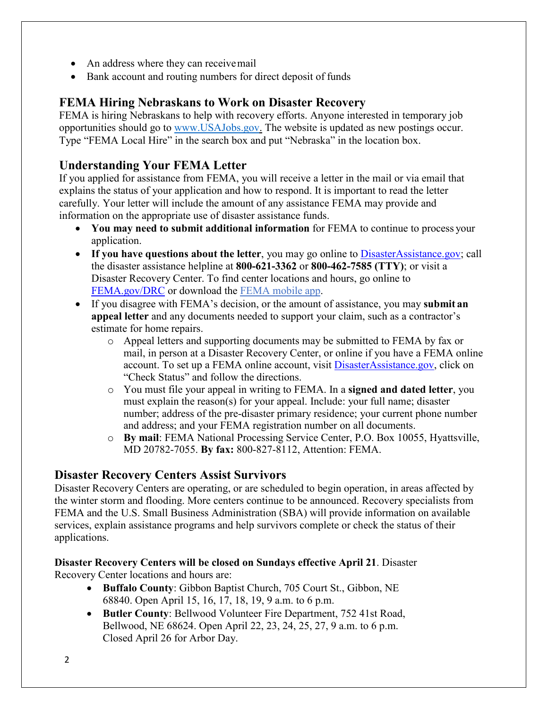- An address where they can receive mail
- Bank account and routing numbers for direct deposit of funds

# **FEMA Hiring Nebraskans to Work on Disaster Recovery**

FEMA is hiring Nebraskans to help with recovery efforts. Anyone interested in temporary job opportunities should go to [www.USAJobs.gov.](http://www.usajobs.gov/) The website is updated as new postings occur. Type "FEMA Local Hire" in the search box and put "Nebraska" in the location box.

# **Understanding Your FEMA Letter**

If you applied for assistance from FEMA, you will receive a letter in the mail or via email that explains the status of your application and how to respond. It is important to read the letter carefully. Your letter will include the amount of any assistance FEMA may provide and information on the appropriate use of disaster assistance funds.

- **You may need to submit additional information** for FEMA to continue to process your application.
- If you have questions about the letter, you may go online to [DisasterAssistance.gov;](http://www.disasterassistance.gov/) call the disaster assistance helpline at **800-621-3362** or **800-462-7585 (TTY)**; or visit a Disaster Recovery Center. To find center locations and hours, go online t[o](https://www.fema.gov/disaster-recovery-centers) [FEMA.gov/DRC](https://www.fema.gov/disaster-recovery-centers) or download the [FEMA mobile](https://www.fema.gov/mobile-app) app.
- If you disagree with FEMA's decision, or the amount of assistance, you may **submit an appeal letter** and any documents needed to support your claim, such as a contractor's estimate for home repairs.
	- o Appeal letters and supporting documents may be submitted to FEMA by fax or mail, in person at a Disaster Recovery Center, or online if you have a FEMA online account. To set up a FEMA online account, visit [DisasterAssistance.gov, c](http://www.disasterassistance.gov/)lick on "Check Status" and follow the directions.
	- o You must file your appeal in writing to FEMA. In a **signed and dated letter**, you must explain the reason(s) for your appeal. Include: your full name; disaster number; address of the pre-disaster primary residence; your current phone number and address; and your FEMA registration number on all documents.
	- o **By mail**: FEMA National Processing Service Center, P.O. Box 10055, Hyattsville, MD 20782-7055. **By fax:** 800-827-8112, Attention: FEMA.

#### **Disaster Recovery Centers Assist Survivors**

Disaster Recovery Centers are operating, or are scheduled to begin operation, in areas affected by the winter storm and flooding. More centers continue to be announced. Recovery specialists from FEMA and the U.S. Small Business Administration (SBA) will provide information on available services, explain assistance programs and help survivors complete or check the status of their applications.

#### **Disaster Recovery Centers will be closed on Sundays effective April 21**. Disaster Recovery Center locations and hours are:

- **Buffalo County**: Gibbon Baptist Church, 705 Court St., Gibbon, NE 68840. Open April 15, 16, 17, 18, 19, 9 a.m. to 6 p.m.
- **Butler County**: Bellwood Volunteer Fire Department, 752 41st Road, Bellwood, NE 68624. Open April 22, 23, 24, 25, 27, 9 a.m. to 6 p.m. Closed April 26 for Arbor Day.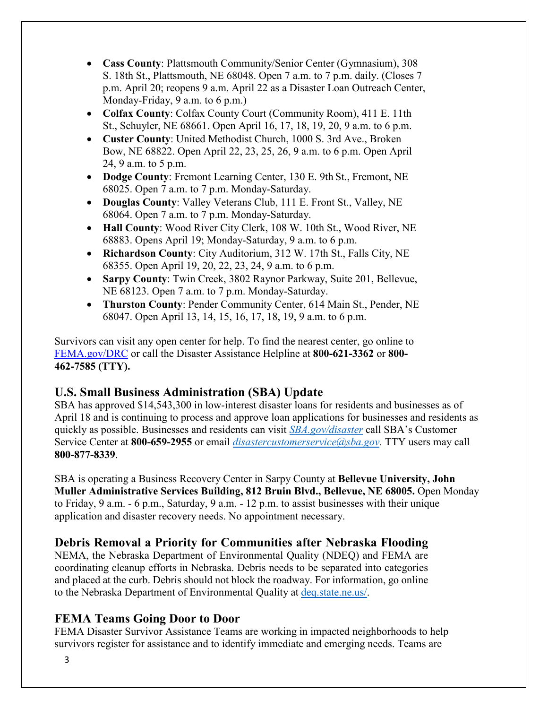- **Cass County**: Plattsmouth Community/Senior Center (Gymnasium), 308 S. 18th St., Plattsmouth, NE 68048. Open 7 a.m. to 7 p.m. daily. (Closes 7 p.m. April 20; reopens 9 a.m. April 22 as a Disaster Loan Outreach Center, Monday-Friday, 9 a.m. to 6 p.m.)
- **Colfax County**: Colfax County Court (Community Room), 411 E. 11th St., Schuyler, NE 68661. Open April 16, 17, 18, 19, 20, 9 a.m. to 6 p.m.
- **Custer County**: United Methodist Church, 1000 S. 3rd Ave., Broken Bow, NE 68822. Open April 22, 23, 25, 26, 9 a.m. to 6 p.m. Open April 24, 9 a.m. to 5 p.m.
- **Dodge County**: Fremont Learning Center, 130 E. 9th St., Fremont, NE 68025. Open 7 a.m. to 7 p.m. Monday-Saturday.
- **Douglas County**: Valley Veterans Club, 111 E. Front St., Valley, NE 68064. Open 7 a.m. to 7 p.m. Monday-Saturday.
- **Hall County**: Wood River City Clerk, 108 W. 10th St., Wood River, NE 68883. Opens April 19; Monday-Saturday, 9 a.m. to 6 p.m.
- **Richardson County**: City Auditorium, 312 W. 17th St., Falls City, NE 68355. Open April 19, 20, 22, 23, 24, 9 a.m. to 6 p.m.
- **Sarpy County**: Twin Creek, 3802 Raynor Parkway, Suite 201, Bellevue, NE 68123. Open 7 a.m. to 7 p.m. Monday-Saturday.
- **Thurston County**: Pender Community Center, 614 Main St., Pender, NE 68047. Open April 13, 14, 15, 16, 17, 18, 19, 9 a.m. to 6 p.m.

Survivors can visit any open center for help. To find the nearest center, go online to [FEMA.gov/DRC](http://www.fema.gov/DRC) or call the Disaster Assistance Helpline at **800-621-3362** or **800- 462-7585 (TTY).**

# **U.S. Small Business Administration (SBA) Update**

SBA has approved \$14,543,300 in low-interest disaster loans for residents and businesses as of April 18 and is continuing to process and approve loan applications for businesses and residents as quickly as possible. Businesses and residents can visit *[SBA.gov/disaster](http://www.sba.gov/disaster)* call SBA's Customer Service Center at **800-659-2955** or email *[disastercustomerservice@sba.gov.](mailto:disastercustomerservice@sba.gov)* TTY users may call **800-877-8339**.

SBA is operating a Business Recovery Center in Sarpy County at **Bellevue University, John Muller Administrative Services Building, 812 Bruin Blvd., Bellevue, NE 68005.** Open Monday to Friday, 9 a.m. - 6 p.m., Saturday, 9 a.m. - 12 p.m. to assist businesses with their unique application and disaster recovery needs. No appointment necessary.

# **Debris Removal a Priority for Communities after Nebraska Flooding**

NEMA, the Nebraska Department of Environmental Quality (NDEQ) and FEMA are coordinating cleanup efforts in Nebraska. Debris needs to be separated into categories and placed at the curb. Debris should not block the roadway. For information, go online to the Nebraska Department of Environmental Quality at [deq.state.ne.us/.](http://www.deq.state.ne.us/)

# **FEMA Teams Going Door to Door**

FEMA Disaster Survivor Assistance Teams are working in impacted neighborhoods to help survivors register for assistance and to identify immediate and emerging needs. Teams are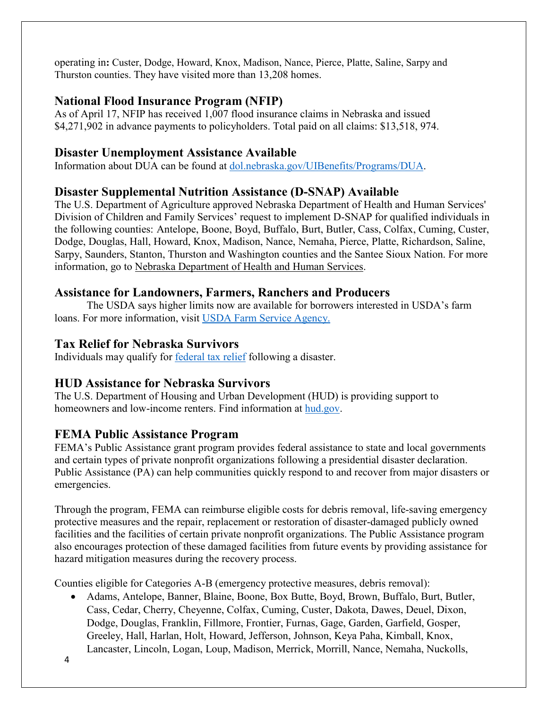operating in**:** Custer, Dodge, Howard, Knox, Madison, Nance, Pierce, Platte, Saline, Sarpy and Thurston counties. They have visited more than 13,208 homes.

# **National Flood Insurance Program (NFIP)**

As of April 17, NFIP has received 1,007 flood insurance claims in Nebraska and issued \$4,271,902 in advance payments to policyholders. Total paid on all claims: \$13,518, 974.

# **Disaster Unemployment Assistance Available**

Information about DUA can be found at [dol.nebraska.gov/UIBenefits/Programs/DUA.](https://dol.nebraska.gov/UIBenefits/Programs/DUA)

# **Disaster Supplemental Nutrition Assistance (D-SNAP) Available**

The U.S. Department of Agriculture approved Nebraska Department of Health and Human Services' Division of Children and Family Services' request to implement D-SNAP for qualified individuals in the following counties: Antelope, Boone, Boyd, Buffalo, Burt, Butler, Cass, Colfax, Cuming, Custer, Dodge, Douglas, Hall, Howard, Knox, Madison, Nance, Nemaha, Pierce, Platte, Richardson, Saline, Sarpy, Saunders, Stanton, Thurston and Washington counties and the Santee Sioux Nation. For more information, go to [Nebraska Department of Health and Human Services.](http://dhhs.ne.gov/Pages/Residents-of-12-More-Nebraska-Counties-Are-Eligible-for-Disaster-SNAP.aspx)

# **Assistance for Landowners, Farmers, Ranchers and Producers**

The USDA says higher limits now are available for borrowers interested in USDA's farm loans. For more information, visit [USDA Farm Service Agency.](https://www.fsa.usda.gov/)

# **Tax Relief for Nebraska Survivors**

Individuals may qualify for federal tax relief [following a disaster.](https://www.irs.gov/newsroom/irs-announces-tax-relief-for-nebraska-victims-of-severe-winter-storm-straight-line-winds-and-flooding)

# **HUD Assistance for Nebraska Survivors**

The U.S. Department of Housing and Urban Development (HUD) is providing support to homeowners and low-income renters. Find information at [hud.gov.](https://www.hud.gov/)

# **FEMA Public Assistance Program**

FEMA's Public Assistance grant program provides federal assistance to state and local governments and certain types of private nonprofit organizations following a presidential disaster declaration. Public Assistance (PA) can help communities quickly respond to and recover from major disasters or emergencies.

Through the program, FEMA can reimburse eligible costs for debris removal, life-saving emergency protective measures and the repair, replacement or restoration of disaster-damaged publicly owned facilities and the facilities of certain private nonprofit organizations. The Public Assistance program also encourages protection of these damaged facilities from future events by providing assistance for hazard mitigation measures during the recovery process.

Counties eligible for Categories A-B (emergency protective measures, debris removal):

• Adams, Antelope, Banner, Blaine, Boone, Box Butte, Boyd, Brown, Buffalo, Burt, Butler, Cass, Cedar, Cherry, Cheyenne, Colfax, Cuming, Custer, Dakota, Dawes, Deuel, Dixon, Dodge, Douglas, Franklin, Fillmore, Frontier, Furnas, Gage, Garden, Garfield, Gosper, Greeley, Hall, Harlan, Holt, Howard, Jefferson, Johnson, Keya Paha, Kimball, Knox, Lancaster, Lincoln, Logan, Loup, Madison, Merrick, Morrill, Nance, Nemaha, Nuckolls,